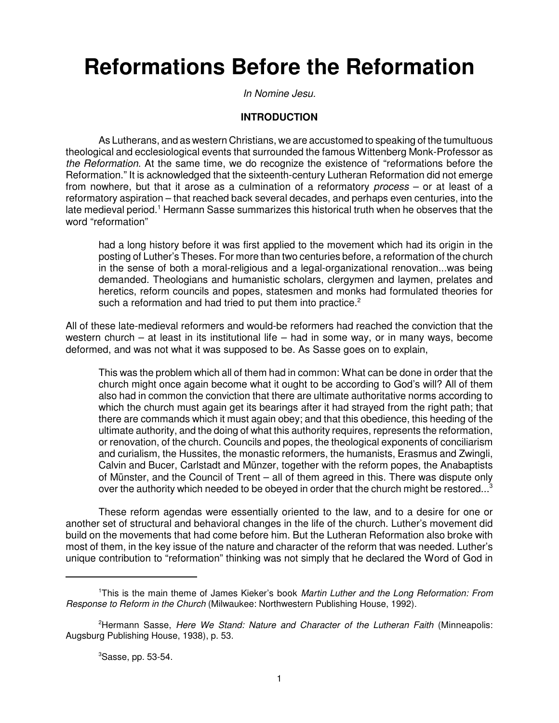# **Reformations Before the Reformation**

In Nomine Jesu.

## **INTRODUCTION**

As Lutherans, and as western Christians, we are accustomed to speaking of the tumultuous theological and ecclesiological events that surrounded the famous Wittenberg Monk-Professor as the Reformation. At the same time, we do recognize the existence of "reformations before the Reformation." It is acknowledged that the sixteenth-century Lutheran Reformation did not emerge from nowhere, but that it arose as a culmination of a reformatory process – or at least of a reformatory aspiration – that reached back several decades, and perhaps even centuries, into the late medieval period.<sup>1</sup> Hermann Sasse summarizes this historical truth when he observes that the word "reformation"

had a long history before it was first applied to the movement which had its origin in the posting of Luther's Theses. For more than two centuries before, a reformation of the church in the sense of both a moral-religious and a legal-organizational renovation...was being demanded. Theologians and humanistic scholars, clergymen and laymen, prelates and heretics, reform councils and popes, statesmen and monks had formulated theories for such a reformation and had tried to put them into practice.<sup>2</sup>

All of these late-medieval reformers and would-be reformers had reached the conviction that the western church – at least in its institutional life – had in some way, or in many ways, become deformed, and was not what it was supposed to be. As Sasse goes on to explain,

This was the problem which all of them had in common: What can be done in order that the church might once again become what it ought to be according to God's will? All of them also had in common the conviction that there are ultimate authoritative norms according to which the church must again get its bearings after it had strayed from the right path; that there are commands which it must again obey; and that this obedience, this heeding of the ultimate authority, and the doing of what this authority requires, represents the reformation, or renovation, of the church. Councils and popes, the theological exponents of conciliarism and curialism, the Hussites, the monastic reformers, the humanists, Erasmus and Zwingli, Calvin and Bucer, Carlstadt and Münzer, together with the reform popes, the Anabaptists of Münster, and the Council of Trent – all of them agreed in this. There was dispute only over the authority which needed to be obeyed in order that the church might be restored... $3$ 

These reform agendas were essentially oriented to the law, and to a desire for one or another set of structural and behavioral changes in the life of the church. Luther's movement did build on the movements that had come before him. But the Lutheran Reformation also broke with most of them, in the key issue of the nature and character of the reform that was needed. Luther's unique contribution to "reformation" thinking was not simply that he declared the Word of God in

<sup>&</sup>lt;sup>1</sup>This is the main theme of James Kieker's book Martin Luther and the Long Reformation: From Response to Reform in the Church (Milwaukee: Northwestern Publishing House, 1992).

<sup>&</sup>lt;sup>2</sup>Hermann Sasse, Here We Stand: Nature and Character of the Lutheran Faith (Minneapolis: Augsburg Publishing House, 1938), p. 53.

<sup>3</sup>Sasse, pp. 53-54.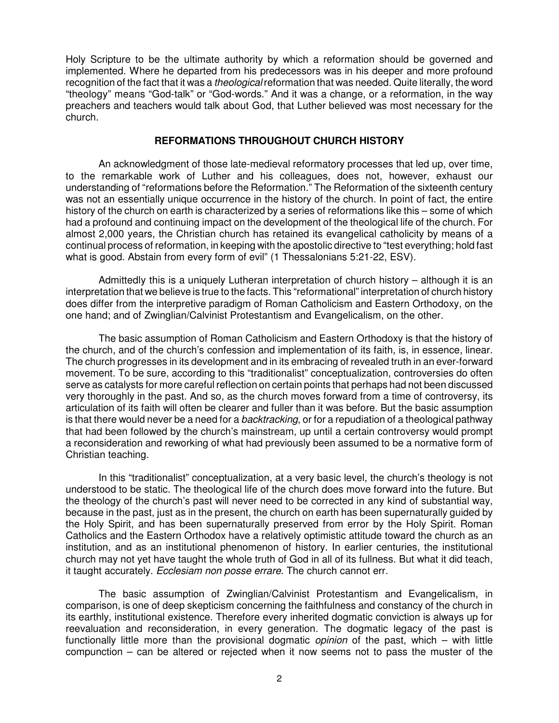Holy Scripture to be the ultimate authority by which a reformation should be governed and implemented. Where he departed from his predecessors was in his deeper and more profound recognition of the fact that it was a *theological* reformation that was needed. Quite literally, the word "theology" means "God-talk" or "God-words." And it was a change, or a reformation, in the way preachers and teachers would talk about God, that Luther believed was most necessary for the church.

#### **REFORMATIONS THROUGHOUT CHURCH HISTORY**

An acknowledgment of those late-medieval reformatory processes that led up, over time, to the remarkable work of Luther and his colleagues, does not, however, exhaust our understanding of "reformations before the Reformation." The Reformation of the sixteenth century was not an essentially unique occurrence in the history of the church. In point of fact, the entire history of the church on earth is characterized by a series of reformations like this – some of which had a profound and continuing impact on the development of the theological life of the church. For almost 2,000 years, the Christian church has retained its evangelical catholicity by means of a continual process of reformation, in keeping with the apostolic directive to "test everything; hold fast what is good. Abstain from every form of evil" (1 Thessalonians 5:21-22, ESV).

Admittedly this is a uniquely Lutheran interpretation of church history – although it is an interpretation that we believe is true to the facts. This "reformational" interpretation of church history does differ from the interpretive paradigm of Roman Catholicism and Eastern Orthodoxy, on the one hand; and of Zwinglian/Calvinist Protestantism and Evangelicalism, on the other.

The basic assumption of Roman Catholicism and Eastern Orthodoxy is that the history of the church, and of the church's confession and implementation of its faith, is, in essence, linear. The church progresses in its development and in its embracing of revealed truth in an ever-forward movement. To be sure, according to this "traditionalist" conceptualization, controversies do often serve as catalysts for more careful reflection on certain points that perhaps had not been discussed very thoroughly in the past. And so, as the church moves forward from a time of controversy, its articulation of its faith will often be clearer and fuller than it was before. But the basic assumption is that there would never be a need for a *backtracking*, or for a repudiation of a theological pathway that had been followed by the church's mainstream, up until a certain controversy would prompt a reconsideration and reworking of what had previously been assumed to be a normative form of Christian teaching.

In this "traditionalist" conceptualization, at a very basic level, the church's theology is not understood to be static. The theological life of the church does move forward into the future. But the theology of the church's past will never need to be corrected in any kind of substantial way, because in the past, just as in the present, the church on earth has been supernaturally guided by the Holy Spirit, and has been supernaturally preserved from error by the Holy Spirit. Roman Catholics and the Eastern Orthodox have a relatively optimistic attitude toward the church as an institution, and as an institutional phenomenon of history. In earlier centuries, the institutional church may not yet have taught the whole truth of God in all of its fullness. But what it did teach, it taught accurately. Ecclesiam non posse errare. The church cannot err.

The basic assumption of Zwinglian/Calvinist Protestantism and Evangelicalism, in comparison, is one of deep skepticism concerning the faithfulness and constancy of the church in its earthly, institutional existence. Therefore every inherited dogmatic conviction is always up for reevaluation and reconsideration, in every generation. The dogmatic legacy of the past is functionally little more than the provisional dogmatic *opinion* of the past, which – with little compunction – can be altered or rejected when it now seems not to pass the muster of the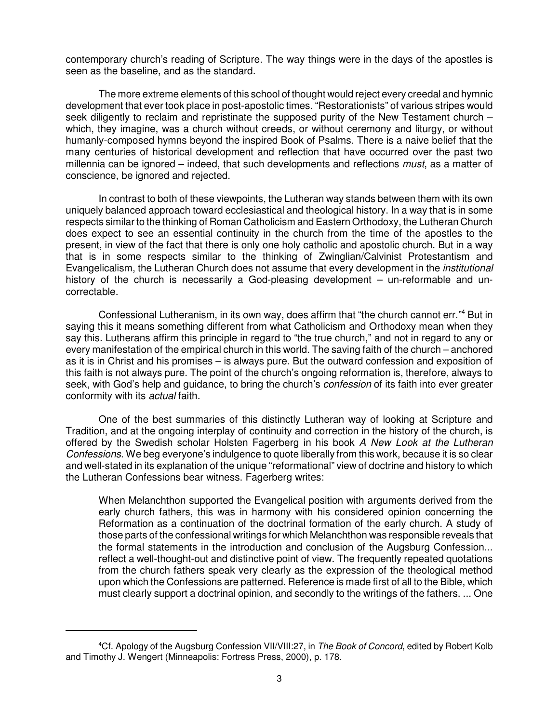contemporary church's reading of Scripture. The way things were in the days of the apostles is seen as the baseline, and as the standard.

The more extreme elements of this school of thought would reject every creedal and hymnic development that ever took place in post-apostolic times. "Restorationists" of various stripes would seek diligently to reclaim and repristinate the supposed purity of the New Testament church – which, they imagine, was a church without creeds, or without ceremony and liturgy, or without humanly-composed hymns beyond the inspired Book of Psalms. There is a naive belief that the many centuries of historical development and reflection that have occurred over the past two millennia can be ignored – indeed, that such developments and reflections  $must$ , as a matter of conscience, be ignored and rejected.

In contrast to both of these viewpoints, the Lutheran way stands between them with its own uniquely balanced approach toward ecclesiastical and theological history. In a way that is in some respects similar to the thinking of Roman Catholicism and Eastern Orthodoxy, the Lutheran Church does expect to see an essential continuity in the church from the time of the apostles to the present, in view of the fact that there is only one holy catholic and apostolic church. But in a way that is in some respects similar to the thinking of Zwinglian/Calvinist Protestantism and Evangelicalism, the Lutheran Church does not assume that every development in the institutional history of the church is necessarily a God-pleasing development – un-reformable and uncorrectable.

Confessional Lutheranism, in its own way, does affirm that "the church cannot err."<sup>4</sup> But in saying this it means something different from what Catholicism and Orthodoxy mean when they say this. Lutherans affirm this principle in regard to "the true church," and not in regard to any or every manifestation of the empirical church in this world. The saving faith of the church – anchored as it is in Christ and his promises – is always pure. But the outward confession and exposition of this faith is not always pure. The point of the church's ongoing reformation is, therefore, always to seek, with God's help and guidance, to bring the church's *confession* of its faith into ever greater conformity with its actual faith.

One of the best summaries of this distinctly Lutheran way of looking at Scripture and Tradition, and at the ongoing interplay of continuity and correction in the history of the church, is offered by the Swedish scholar Holsten Fagerberg in his book A New Look at the Lutheran Confessions. We beg everyone's indulgence to quote liberally from this work, because it is so clear and well-stated in its explanation of the unique "reformational" view of doctrine and history to which the Lutheran Confessions bear witness. Fagerberg writes:

When Melanchthon supported the Evangelical position with arguments derived from the early church fathers, this was in harmony with his considered opinion concerning the Reformation as a continuation of the doctrinal formation of the early church. A study of those parts of the confessional writings for which Melanchthon was responsible reveals that the formal statements in the introduction and conclusion of the Augsburg Confession... reflect a well-thought-out and distinctive point of view. The frequently repeated quotations from the church fathers speak very clearly as the expression of the theological method upon which the Confessions are patterned. Reference is made first of all to the Bible, which must clearly support a doctrinal opinion, and secondly to the writings of the fathers. ... One

<sup>&</sup>lt;sup>4</sup>Cf. Apology of the Augsburg Confession VII/VIII:27, in The Book of Concord, edited by Robert Kolb and Timothy J. Wengert (Minneapolis: Fortress Press, 2000), p. 178.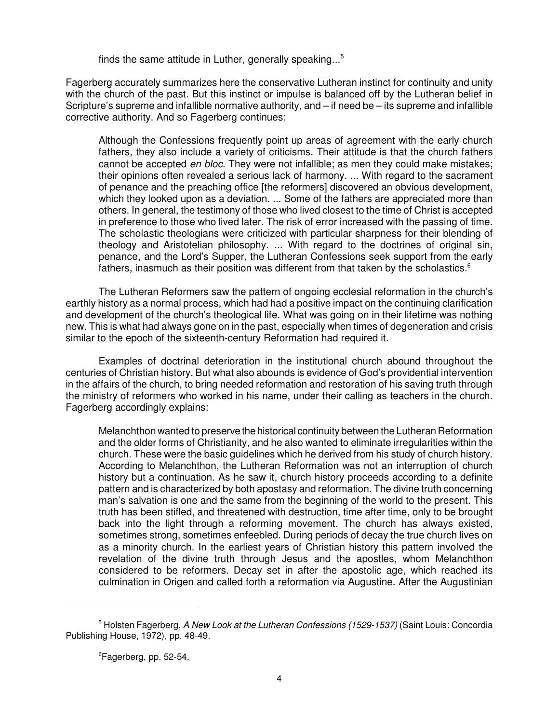finds the same attitude in Luther, generally speaking... 5

Fagerberg accurately summarizes here the conservative Lutheran instinct for continuity and unity with the church of the past. But this instinct or impulse is balanced off by the Lutheran belief in Scripture's supreme and infallible normative authority, and – if need be – its supreme and infallible corrective authority. And so Fagerberg continues:

Although the Confessions frequently point up areas of agreement with the early church fathers, they also include a variety of criticisms. Their attitude is that the church fathers cannot be accepted *en bloc*. They were not infallible; as men they could make mistakes; their opinions often revealed a serious lack of harmony. ... With regard to the sacrament of penance and the preaching office [the reformers] discovered an obvious development, which they looked upon as a deviation. ... Some of the fathers are appreciated more than others. In general, the testimony of those who lived closest to the time of Christ is accepted in preference to those who lived later. The risk of error increased with the passing of time. The scholastic theologians were criticized with particular sharpness for their blending of theology and Aristotelian philosophy. ... With regard to the doctrines of original sin, penance, and the Lord's Supper, the Lutheran Confessions seek support from the early fathers, inasmuch as their position was different from that taken by the scholastics. $6$ 

The Lutheran Reformers saw the pattern of ongoing ecclesial reformation in the church's earthly history as a normal process, which had had a positive impact on the continuing clarification and development of the church's theological life. What was going on in their lifetime was nothing new. This is what had always gone on in the past, especially when times of degeneration and crisis similar to the epoch of the sixteenth-century Reformation had required it.

Examples of doctrinal deterioration in the institutional church abound throughout the centuries of Christian history. But what also abounds is evidence of God's providential intervention in the affairs of the church, to bring needed reformation and restoration of his saving truth through the ministry of reformers who worked in his name, under their calling as teachers in the church. Fagerberg accordingly explains:

Melanchthon wanted to preserve the historical continuity between the Lutheran Reformation and the older forms of Christianity, and he also wanted to eliminate irregularities within the church. These were the basic guidelines which he derived from his study of church history. According to Melanchthon, the Lutheran Reformation was not an interruption of church history but a continuation. As he saw it, church history proceeds according to a definite pattern and is characterized by both apostasy and reformation. The divine truth concerning man's salvation is one and the same from the beginning of the world to the present. This truth has been stifled, and threatened with destruction, time after time, only to be brought back into the light through a reforming movement. The church has always existed, sometimes strong, sometimes enfeebled. During periods of decay the true church lives on as a minority church. In the earliest years of Christian history this pattern involved the revelation of the divine truth through Jesus and the apostles, whom Melanchthon considered to be reformers. Decay set in after the apostolic age, which reached its culmination in Origen and called forth a reformation via Augustine. After the Augustinian

<sup>&</sup>lt;sup>5</sup> Holsten Fagerberg, A New Look at the Lutheran Confessions (1529-1537) (Saint Louis: Concordia Publishing House, 1972), pp. 48-49.

<sup>&</sup>lt;sup>6</sup>Fagerberg, pp. 52-54.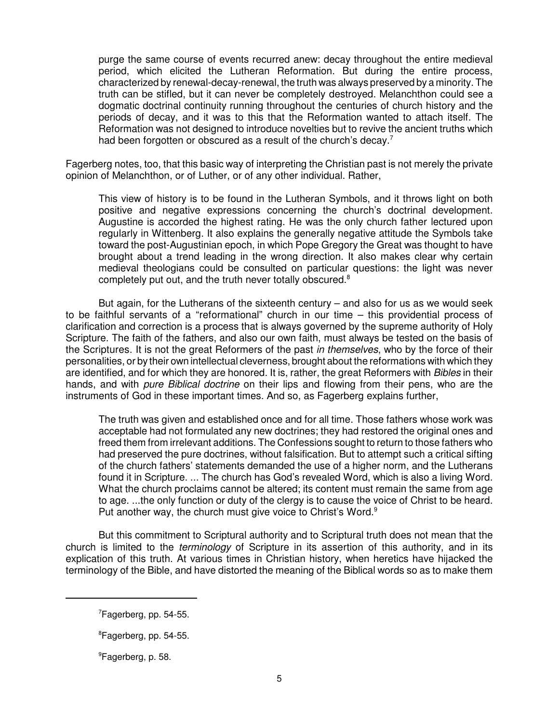purge the same course of events recurred anew: decay throughout the entire medieval period, which elicited the Lutheran Reformation. But during the entire process, characterized by renewal-decay-renewal, the truth was always preserved by a minority. The truth can be stifled, but it can never be completely destroyed. Melanchthon could see a dogmatic doctrinal continuity running throughout the centuries of church history and the periods of decay, and it was to this that the Reformation wanted to attach itself. The Reformation was not designed to introduce novelties but to revive the ancient truths which had been forgotten or obscured as a result of the church's decay.<sup>7</sup>

Fagerberg notes, too, that this basic way of interpreting the Christian past is not merely the private opinion of Melanchthon, or of Luther, or of any other individual. Rather,

This view of history is to be found in the Lutheran Symbols, and it throws light on both positive and negative expressions concerning the church's doctrinal development. Augustine is accorded the highest rating. He was the only church father lectured upon regularly in Wittenberg. It also explains the generally negative attitude the Symbols take toward the post-Augustinian epoch, in which Pope Gregory the Great was thought to have brought about a trend leading in the wrong direction. It also makes clear why certain medieval theologians could be consulted on particular questions: the light was never completely put out, and the truth never totally obscured.<sup>8</sup>

But again, for the Lutherans of the sixteenth century – and also for us as we would seek to be faithful servants of a "reformational" church in our time – this providential process of clarification and correction is a process that is always governed by the supreme authority of Holy Scripture. The faith of the fathers, and also our own faith, must always be tested on the basis of the Scriptures. It is not the great Reformers of the past in themselves, who by the force of their personalities, or by their own intellectual cleverness, brought about the reformations with which they are identified, and for which they are honored. It is, rather, the great Reformers with Bibles in their hands, and with *pure Biblical doctrine* on their lips and flowing from their pens, who are the instruments of God in these important times. And so, as Fagerberg explains further,

The truth was given and established once and for all time. Those fathers whose work was acceptable had not formulated any new doctrines; they had restored the original ones and freed them from irrelevant additions. The Confessions sought to return to those fathers who had preserved the pure doctrines, without falsification. But to attempt such a critical sifting of the church fathers' statements demanded the use of a higher norm, and the Lutherans found it in Scripture. ... The church has God's revealed Word, which is also a living Word. What the church proclaims cannot be altered; its content must remain the same from age to age. ...the only function or duty of the clergy is to cause the voice of Christ to be heard. Put another way, the church must give voice to Christ's Word.<sup>9</sup>

But this commitment to Scriptural authority and to Scriptural truth does not mean that the church is limited to the *terminology* of Scripture in its assertion of this authority, and in its explication of this truth. At various times in Christian history, when heretics have hijacked the terminology of the Bible, and have distorted the meaning of the Biblical words so as to make them

<sup>7</sup>Fagerberg, pp. 54-55.

<sup>8</sup>Fagerberg, pp. 54-55.

<sup>&</sup>lt;sup>9</sup>Fagerberg, p. 58.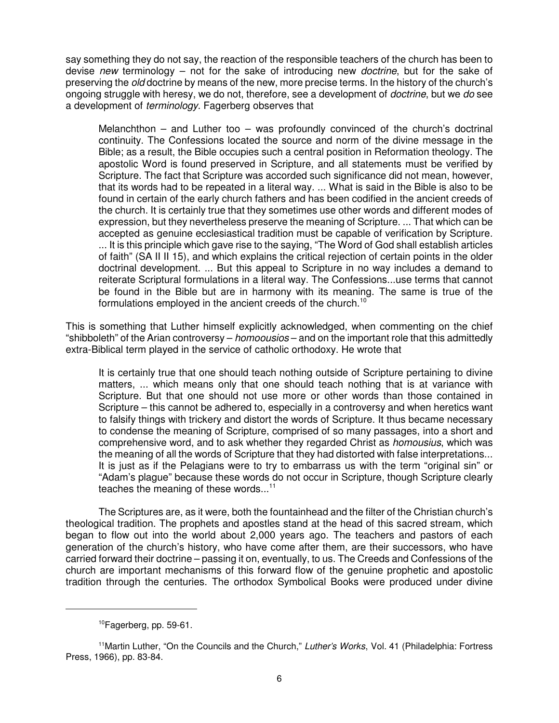say something they do not say, the reaction of the responsible teachers of the church has been to devise new terminology – not for the sake of introducing new *doctrine*, but for the sake of preserving the *old* doctrine by means of the new, more precise terms. In the history of the church's ongoing struggle with heresy, we do not, therefore, see a development of *doctrine*, but we do see a development of terminology. Fagerberg observes that

Melanchthon – and Luther too – was profoundly convinced of the church's doctrinal continuity. The Confessions located the source and norm of the divine message in the Bible; as a result, the Bible occupies such a central position in Reformation theology. The apostolic Word is found preserved in Scripture, and all statements must be verified by Scripture. The fact that Scripture was accorded such significance did not mean, however, that its words had to be repeated in a literal way. ... What is said in the Bible is also to be found in certain of the early church fathers and has been codified in the ancient creeds of the church. It is certainly true that they sometimes use other words and different modes of expression, but they nevertheless preserve the meaning of Scripture. ... That which can be accepted as genuine ecclesiastical tradition must be capable of verification by Scripture. ... It is this principle which gave rise to the saying, "The Word of God shall establish articles of faith" (SA II II 15), and which explains the critical rejection of certain points in the older doctrinal development. ... But this appeal to Scripture in no way includes a demand to reiterate Scriptural formulations in a literal way. The Confessions...use terms that cannot be found in the Bible but are in harmony with its meaning. The same is true of the formulations employed in the ancient creeds of the church.<sup>10</sup>

This is something that Luther himself explicitly acknowledged, when commenting on the chief "shibboleth" of the Arian controversy – homoousios – and on the important role that this admittedly extra-Biblical term played in the service of catholic orthodoxy. He wrote that

It is certainly true that one should teach nothing outside of Scripture pertaining to divine matters, ... which means only that one should teach nothing that is at variance with Scripture. But that one should not use more or other words than those contained in Scripture – this cannot be adhered to, especially in a controversy and when heretics want to falsify things with trickery and distort the words of Scripture. It thus became necessary to condense the meaning of Scripture, comprised of so many passages, into a short and comprehensive word, and to ask whether they regarded Christ as homousius, which was the meaning of all the words of Scripture that they had distorted with false interpretations... It is just as if the Pelagians were to try to embarrass us with the term "original sin" or "Adam's plague" because these words do not occur in Scripture, though Scripture clearly teaches the meaning of these words...<sup>11</sup>

The Scriptures are, as it were, both the fountainhead and the filter of the Christian church's theological tradition. The prophets and apostles stand at the head of this sacred stream, which began to flow out into the world about 2,000 years ago. The teachers and pastors of each generation of the church's history, who have come after them, are their successors, who have carried forward their doctrine – passing it on, eventually, to us. The Creeds and Confessions of the church are important mechanisms of this forward flow of the genuine prophetic and apostolic tradition through the centuries. The orthodox Symbolical Books were produced under divine

<sup>&</sup>lt;sup>10</sup>Fagerberg, pp. 59-61.

<sup>&</sup>lt;sup>11</sup> Martin Luther, "On the Councils and the Church," Luther's Works, Vol. 41 (Philadelphia: Fortress Press, 1966), pp. 83-84.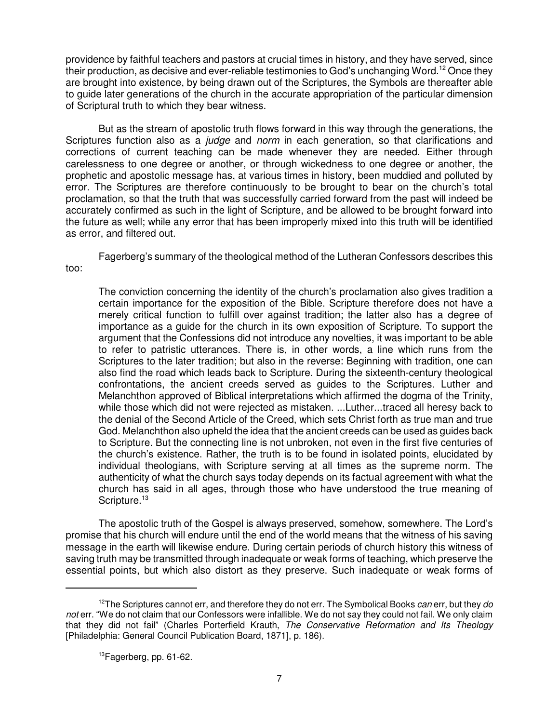providence by faithful teachers and pastors at crucial times in history, and they have served, since their production, as decisive and ever-reliable testimonies to God's unchanging Word.<sup>12</sup> Once they are brought into existence, by being drawn out of the Scriptures, the Symbols are thereafter able to guide later generations of the church in the accurate appropriation of the particular dimension of Scriptural truth to which they bear witness.

But as the stream of apostolic truth flows forward in this way through the generations, the Scriptures function also as a *judge* and *norm* in each generation, so that clarifications and corrections of current teaching can be made whenever they are needed. Either through carelessness to one degree or another, or through wickedness to one degree or another, the prophetic and apostolic message has, at various times in history, been muddied and polluted by error. The Scriptures are therefore continuously to be brought to bear on the church's total proclamation, so that the truth that was successfully carried forward from the past will indeed be accurately confirmed as such in the light of Scripture, and be allowed to be brought forward into the future as well; while any error that has been improperly mixed into this truth will be identified as error, and filtered out.

Fagerberg's summary of the theological method of the Lutheran Confessors describes this too:

The conviction concerning the identity of the church's proclamation also gives tradition a certain importance for the exposition of the Bible. Scripture therefore does not have a merely critical function to fulfill over against tradition; the latter also has a degree of importance as a guide for the church in its own exposition of Scripture. To support the argument that the Confessions did not introduce any novelties, it was important to be able to refer to patristic utterances. There is, in other words, a line which runs from the Scriptures to the later tradition; but also in the reverse: Beginning with tradition, one can also find the road which leads back to Scripture. During the sixteenth-century theological confrontations, the ancient creeds served as guides to the Scriptures. Luther and Melanchthon approved of Biblical interpretations which affirmed the dogma of the Trinity, while those which did not were rejected as mistaken. ...Luther...traced all heresy back to the denial of the Second Article of the Creed, which sets Christ forth as true man and true God. Melanchthon also upheld the idea that the ancient creeds can be used as guides back to Scripture. But the connecting line is not unbroken, not even in the first five centuries of the church's existence. Rather, the truth is to be found in isolated points, elucidated by individual theologians, with Scripture serving at all times as the supreme norm. The authenticity of what the church says today depends on its factual agreement with what the church has said in all ages, through those who have understood the true meaning of Scripture.<sup>13</sup>

The apostolic truth of the Gospel is always preserved, somehow, somewhere. The Lord's promise that his church will endure until the end of the world means that the witness of his saving message in the earth will likewise endure. During certain periods of church history this witness of saving truth may be transmitted through inadequate or weak forms of teaching, which preserve the essential points, but which also distort as they preserve. Such inadequate or weak forms of

 $12$ The Scriptures cannot err, and therefore they do not err. The Symbolical Books can err, but they do not err. "We do not claim that our Confessors were infallible. We do not say they could not fail. We only claim that they did not fail" (Charles Porterfield Krauth, The Conservative Reformation and Its Theology [Philadelphia: General Council Publication Board, 1871], p. 186).

 $13$ Fagerberg, pp. 61-62.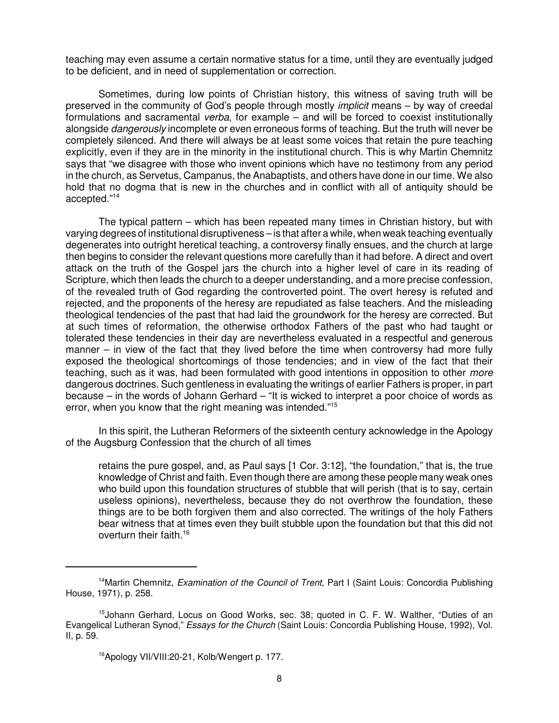teaching may even assume a certain normative status for a time, until they are eventually judged to be deficient, and in need of supplementation or correction.

Sometimes, during low points of Christian history, this witness of saving truth will be preserved in the community of God's people through mostly implicit means – by way of creedal formulations and sacramental *verba*, for example – and will be forced to coexist institutionally alongside *dangerously* incomplete or even erroneous forms of teaching. But the truth will never be completely silenced. And there will always be at least some voices that retain the pure teaching explicitly, even if they are in the minority in the institutional church. This is why Martin Chemnitz says that "we disagree with those who invent opinions which have no testimony from any period in the church, as Servetus, Campanus, the Anabaptists, and others have done in our time. We also hold that no dogma that is new in the churches and in conflict with all of antiquity should be accepted."<sup>14</sup>

The typical pattern – which has been repeated many times in Christian history, but with varying degrees of institutional disruptiveness – is that after a while, when weak teaching eventually degenerates into outright heretical teaching, a controversy finally ensues, and the church at large then begins to consider the relevant questions more carefully than it had before. A direct and overt attack on the truth of the Gospel jars the church into a higher level of care in its reading of Scripture, which then leads the church to a deeper understanding, and a more precise confession, of the revealed truth of God regarding the controverted point. The overt heresy is refuted and rejected, and the proponents of the heresy are repudiated as false teachers. And the misleading theological tendencies of the past that had laid the groundwork for the heresy are corrected. But at such times of reformation, the otherwise orthodox Fathers of the past who had taught or tolerated these tendencies in their day are nevertheless evaluated in a respectful and generous manner – in view of the fact that they lived before the time when controversy had more fully exposed the theological shortcomings of those tendencies; and in view of the fact that their teaching, such as it was, had been formulated with good intentions in opposition to other *more* dangerous doctrines. Such gentleness in evaluating the writings of earlier Fathers is proper, in part because – in the words of Johann Gerhard – "It is wicked to interpret a poor choice of words as error, when you know that the right meaning was intended."<sup>15</sup>

In this spirit, the Lutheran Reformers of the sixteenth century acknowledge in the Apology of the Augsburg Confession that the church of all times

retains the pure gospel, and, as Paul says [1 Cor. 3:12], "the foundation," that is, the true knowledge of Christ and faith. Even though there are among these people many weak ones who build upon this foundation structures of stubble that will perish (that is to say, certain useless opinions), nevertheless, because they do not overthrow the foundation, these things are to be both forgiven them and also corrected. The writings of the holy Fathers bear witness that at times even they built stubble upon the foundation but that this did not overturn their faith.<sup>16</sup>

<sup>&</sup>lt;sup>14</sup>Martin Chemnitz, Examination of the Council of Trent, Part I (Saint Louis: Concordia Publishing House, 1971), p. 258.

<sup>&</sup>lt;sup>15</sup>Johann Gerhard, Locus on Good Works, sec. 38; quoted in C. F. W. Walther, "Duties of an Evangelical Lutheran Synod," Essays for the Church (Saint Louis: Concordia Publishing House, 1992), Vol. II, p. 59.

<sup>16</sup>Apology VII/VIII:20-21, Kolb/Wengert p. 177.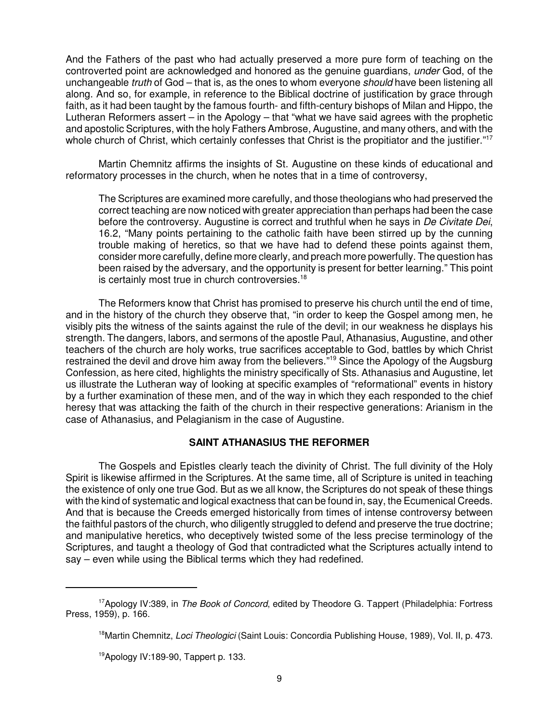And the Fathers of the past who had actually preserved a more pure form of teaching on the controverted point are acknowledged and honored as the genuine guardians, under God, of the unchangeable *truth* of God – that is, as the ones to whom everyone *should* have been listening all along. And so, for example, in reference to the Biblical doctrine of justification by grace through faith, as it had been taught by the famous fourth- and fifth-century bishops of Milan and Hippo, the Lutheran Reformers assert – in the Apology – that "what we have said agrees with the prophetic and apostolic Scriptures, with the holy Fathers Ambrose, Augustine, and many others, and with the whole church of Christ, which certainly confesses that Christ is the propitiator and the justifier."<sup>17</sup>

Martin Chemnitz affirms the insights of St. Augustine on these kinds of educational and reformatory processes in the church, when he notes that in a time of controversy,

The Scriptures are examined more carefully, and those theologians who had preserved the correct teaching are now noticed with greater appreciation than perhaps had been the case before the controversy. Augustine is correct and truthful when he says in De Civitate Dei, 16.2, "Many points pertaining to the catholic faith have been stirred up by the cunning trouble making of heretics, so that we have had to defend these points against them, consider more carefully, define more clearly, and preach more powerfully. The question has been raised by the adversary, and the opportunity is present for better learning." This point is certainly most true in church controversies.<sup>18</sup>

The Reformers know that Christ has promised to preserve his church until the end of time, and in the history of the church they observe that, "in order to keep the Gospel among men, he visibly pits the witness of the saints against the rule of the devil; in our weakness he displays his strength. The dangers, labors, and sermons of the apostle Paul, Athanasius, Augustine, and other teachers of the church are holy works, true sacrifices acceptable to God, battles by which Christ restrained the devil and drove him away from the believers."<sup>19</sup> Since the Apology of the Augsburg Confession, as here cited, highlights the ministry specifically of Sts. Athanasius and Augustine, let us illustrate the Lutheran way of looking at specific examples of "reformational" events in history by a further examination of these men, and of the way in which they each responded to the chief heresy that was attacking the faith of the church in their respective generations: Arianism in the case of Athanasius, and Pelagianism in the case of Augustine.

## **SAINT ATHANASIUS THE REFORMER**

The Gospels and Epistles clearly teach the divinity of Christ. The full divinity of the Holy Spirit is likewise affirmed in the Scriptures. At the same time, all of Scripture is united in teaching the existence of only one true God. But as we all know, the Scriptures do not speak of these things with the kind of systematic and logical exactness that can be found in, say, the Ecumenical Creeds. And that is because the Creeds emerged historically from times of intense controversy between the faithful pastors of the church, who diligently struggled to defend and preserve the true doctrine; and manipulative heretics, who deceptively twisted some of the less precise terminology of the Scriptures, and taught a theology of God that contradicted what the Scriptures actually intend to say – even while using the Biblical terms which they had redefined.

<sup>&</sup>lt;sup>17</sup>Apology IV:389, in *The Book of Concord*, edited by Theodore G. Tappert (Philadelphia: Fortress Press, 1959), p. 166.

<sup>&</sup>lt;sup>18</sup>Martin Chemnitz, Loci Theologici (Saint Louis: Concordia Publishing House, 1989), Vol. II, p. 473.

<sup>&</sup>lt;sup>19</sup>Apology IV:189-90, Tappert p. 133.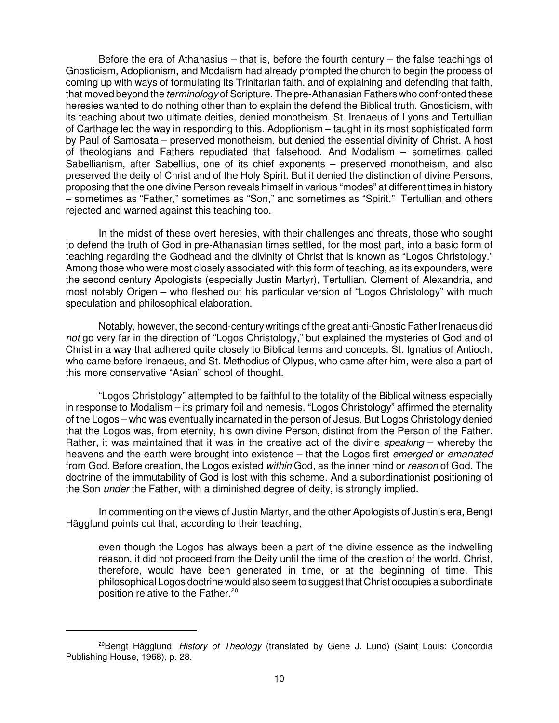Before the era of Athanasius – that is, before the fourth century – the false teachings of Gnosticism, Adoptionism, and Modalism had already prompted the church to begin the process of coming up with ways of formulating its Trinitarian faith, and of explaining and defending that faith, that moved beyond the *terminology* of Scripture. The pre-Athanasian Fathers who confronted these heresies wanted to do nothing other than to explain the defend the Biblical truth. Gnosticism, with its teaching about two ultimate deities, denied monotheism. St. Irenaeus of Lyons and Tertullian of Carthage led the way in responding to this. Adoptionism – taught in its most sophisticated form by Paul of Samosata – preserved monotheism, but denied the essential divinity of Christ. A host of theologians and Fathers repudiated that falsehood. And Modalism – sometimes called Sabellianism, after Sabellius, one of its chief exponents – preserved monotheism, and also preserved the deity of Christ and of the Holy Spirit. But it denied the distinction of divine Persons, proposing that the one divine Person reveals himself in various "modes" at different times in history – sometimes as "Father," sometimes as "Son," and sometimes as "Spirit." Tertullian and others rejected and warned against this teaching too.

In the midst of these overt heresies, with their challenges and threats, those who sought to defend the truth of God in pre-Athanasian times settled, for the most part, into a basic form of teaching regarding the Godhead and the divinity of Christ that is known as "Logos Christology." Among those who were most closely associated with this form of teaching, as its expounders, were the second century Apologists (especially Justin Martyr), Tertullian, Clement of Alexandria, and most notably Origen – who fleshed out his particular version of "Logos Christology" with much speculation and philosophical elaboration.

Notably, however, the second-century writings of the great anti-Gnostic Father Irenaeus did not go very far in the direction of "Logos Christology," but explained the mysteries of God and of Christ in a way that adhered quite closely to Biblical terms and concepts. St. Ignatius of Antioch, who came before Irenaeus, and St. Methodius of Olypus, who came after him, were also a part of this more conservative "Asian" school of thought.

"Logos Christology" attempted to be faithful to the totality of the Biblical witness especially in response to Modalism – its primary foil and nemesis. "Logos Christology" affirmed the eternality of the Logos – who was eventually incarnated in the person of Jesus. But Logos Christology denied that the Logos was, from eternity, his own divine Person, distinct from the Person of the Father. Rather, it was maintained that it was in the creative act of the divine *speaking* – whereby the heavens and the earth were brought into existence – that the Logos first emerged or emanated from God. Before creation, the Logos existed within God, as the inner mind or reason of God. The doctrine of the immutability of God is lost with this scheme. And a subordinationist positioning of the Son *under* the Father, with a diminished degree of deity, is strongly implied.

In commenting on the views of Justin Martyr, and the other Apologists of Justin's era, Bengt Hägglund points out that, according to their teaching,

even though the Logos has always been a part of the divine essence as the indwelling reason, it did not proceed from the Deity until the time of the creation of the world. Christ, therefore, would have been generated in time, or at the beginning of time. This philosophical Logos doctrine would also seem to suggest that Christ occupies a subordinate position relative to the Father.<sup>20</sup>

<sup>&</sup>lt;sup>20</sup>Bengt Hägglund, History of Theology (translated by Gene J. Lund) (Saint Louis: Concordia Publishing House, 1968), p. 28.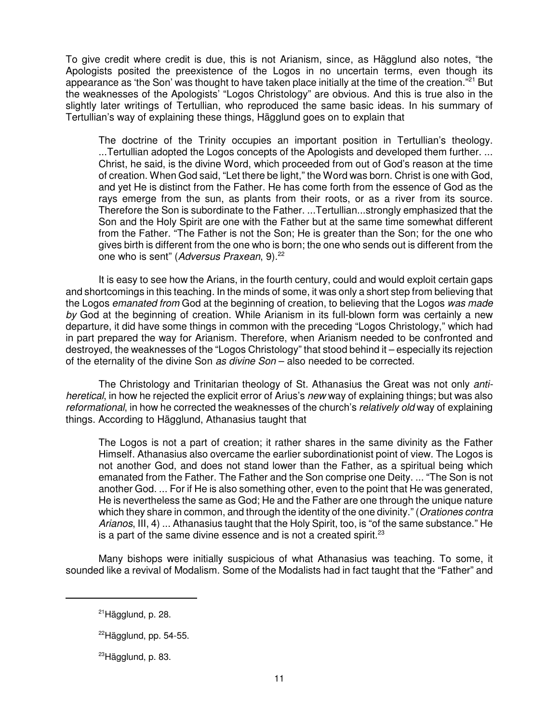To give credit where credit is due, this is not Arianism, since, as Hägglund also notes, "the Apologists posited the preexistence of the Logos in no uncertain terms, even though its appearance as 'the Son' was thought to have taken place initially at the time of the creation."<sup>21</sup> But the weaknesses of the Apologists' "Logos Christology" are obvious. And this is true also in the slightly later writings of Tertullian, who reproduced the same basic ideas. In his summary of Tertullian's way of explaining these things, Hägglund goes on to explain that

The doctrine of the Trinity occupies an important position in Tertullian's theology. ...Tertullian adopted the Logos concepts of the Apologists and developed them further. ... Christ, he said, is the divine Word, which proceeded from out of God's reason at the time of creation. When God said, "Let there be light," the Word was born. Christ is one with God, and yet He is distinct from the Father. He has come forth from the essence of God as the rays emerge from the sun, as plants from their roots, or as a river from its source. Therefore the Son is subordinate to the Father. ...Tertullian...strongly emphasized that the Son and the Holy Spirit are one with the Father but at the same time somewhat different from the Father. "The Father is not the Son; He is greater than the Son; for the one who gives birth is different from the one who is born; the one who sends out is different from the one who is sent" (Adversus Praxean, 9).<sup>22</sup>

It is easy to see how the Arians, in the fourth century, could and would exploit certain gaps and shortcomings in this teaching. In the minds of some, it was only a short step from believing that the Logos emanated from God at the beginning of creation, to believing that the Logos was made by God at the beginning of creation. While Arianism in its full-blown form was certainly a new departure, it did have some things in common with the preceding "Logos Christology," which had in part prepared the way for Arianism. Therefore, when Arianism needed to be confronted and destroyed, the weaknesses of the "Logos Christology" that stood behind it – especially its rejection of the eternality of the divine Son as divine Son - also needed to be corrected.

The Christology and Trinitarian theology of St. Athanasius the Great was not only antiheretical, in how he rejected the explicit error of Arius's new way of explaining things; but was also reformational, in how he corrected the weaknesses of the church's relatively old way of explaining things. According to Hägglund, Athanasius taught that

The Logos is not a part of creation; it rather shares in the same divinity as the Father Himself. Athanasius also overcame the earlier subordinationist point of view. The Logos is not another God, and does not stand lower than the Father, as a spiritual being which emanated from the Father. The Father and the Son comprise one Deity. ... "The Son is not another God. ... For if He is also something other, even to the point that He was generated, He is nevertheless the same as God; He and the Father are one through the unique nature which they share in common, and through the identity of the one divinity." (Orationes contra Arianos, III, 4) ... Athanasius taught that the Holy Spirit, too, is "of the same substance." He is a part of the same divine essence and is not a created spirit. $23$ 

Many bishops were initially suspicious of what Athanasius was teaching. To some, it sounded like a revival of Modalism. Some of the Modalists had in fact taught that the "Father" and

 $21$ Hägglund, p. 28.

 $^{22}$ Hägglund, pp. 54-55.

<sup>&</sup>lt;sup>23</sup>Hägglund, p. 83.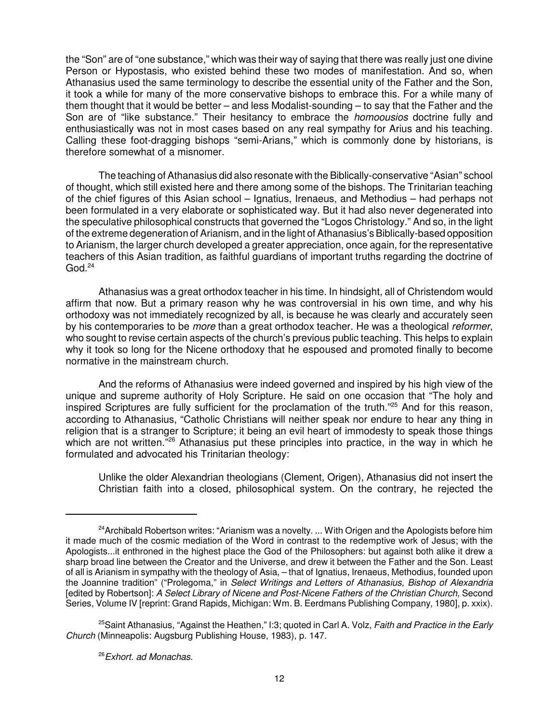the "Son" are of "one substance," which was their way of saying that there was really just one divine Person or Hypostasis, who existed behind these two modes of manifestation. And so, when Athanasius used the same terminology to describe the essential unity of the Father and the Son, it took a while for many of the more conservative bishops to embrace this. For a while many of them thought that it would be better – and less Modalist-sounding – to say that the Father and the Son are of "like substance." Their hesitancy to embrace the *homoousios* doctrine fully and enthusiastically was not in most cases based on any real sympathy for Arius and his teaching. Calling these foot-dragging bishops "semi-Arians," which is commonly done by historians, is therefore somewhat of a misnomer.

The teaching of Athanasius did also resonate with the Biblically-conservative "Asian" school of thought, which still existed here and there among some of the bishops. The Trinitarian teaching of the chief figures of this Asian school – Ignatius, Irenaeus, and Methodius – had perhaps not been formulated in a very elaborate or sophisticated way. But it had also never degenerated into the speculative philosophical constructs that governed the "Logos Christology." And so, in the light of the extreme degeneration of Arianism, and in the light of Athanasius's Biblically-based opposition to Arianism, the larger church developed a greater appreciation, once again, for the representative teachers of this Asian tradition, as faithful guardians of important truths regarding the doctrine of  $God.<sup>24</sup>$ 

Athanasius was a great orthodox teacher in his time. In hindsight, all of Christendom would affirm that now. But a primary reason why he was controversial in his own time, and why his orthodoxy was not immediately recognized by all, is because he was clearly and accurately seen by his contemporaries to be more than a great orthodox teacher. He was a theological reformer, who sought to revise certain aspects of the church's previous public teaching. This helps to explain why it took so long for the Nicene orthodoxy that he espoused and promoted finally to become normative in the mainstream church.

And the reforms of Athanasius were indeed governed and inspired by his high view of the unique and supreme authority of Holy Scripture. He said on one occasion that "The holy and inspired Scriptures are fully sufficient for the proclamation of the truth."<sup>25</sup> And for this reason, according to Athanasius, "Catholic Christians will neither speak nor endure to hear any thing in religion that is a stranger to Scripture; it being an evil heart of immodesty to speak those things which are not written.<sup>"26</sup> Athanasius put these principles into practice, in the way in which he formulated and advocated his Trinitarian theology:

Unlike the older Alexandrian theologians (Clement, Origen), Athanasius did not insert the Christian faith into a closed, philosophical system. On the contrary, he rejected the

 $24$ Archibald Robertson writes: "Arianism was a novelty. ... With Origen and the Apologists before him it made much of the cosmic mediation of the Word in contrast to the redemptive work of Jesus; with the Apologists...it enthroned in the highest place the God of the Philosophers: but against both alike it drew a sharp broad line between the Creator and the Universe, and drew it between the Father and the Son. Least of all is Arianism in sympathy with the theology of Asia, – that of Ignatius, Irenaeus, Methodius, founded upon the Joannine tradition" ("Prolegoma," in Select Writings and Letters of Athanasius, Bishop of Alexandria [edited by Robertson]: A Select Library of Nicene and Post-Nicene Fathers of the Christian Church, Second Series, Volume IV [reprint: Grand Rapids, Michigan: Wm. B. Eerdmans Publishing Company, 1980], p. xxix).

<sup>&</sup>lt;sup>25</sup>Saint Athanasius, "Against the Heathen," I:3; quoted in Carl A. Volz, Faith and Practice in the Early Church (Minneapolis: Augsburg Publishing House, 1983), p. 147.

<sup>&</sup>lt;sup>26</sup> Exhort. ad Monachas.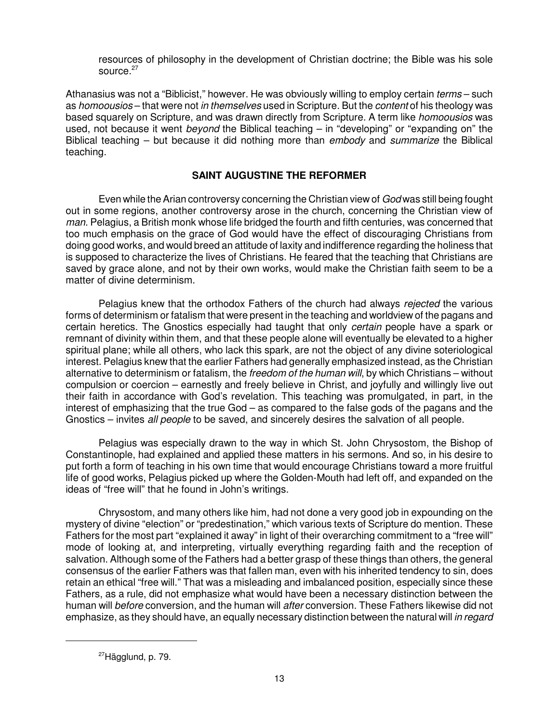resources of philosophy in the development of Christian doctrine; the Bible was his sole source.<sup>27</sup>

Athanasius was not a "Biblicist," however. He was obviously willing to employ certain terms – such as homoousios – that were not in themselves used in Scripture. But the content of his theology was based squarely on Scripture, and was drawn directly from Scripture. A term like homoousios was used, not because it went *beyond* the Biblical teaching – in "developing" or "expanding on" the Biblical teaching – but because it did nothing more than embody and summarize the Biblical teaching.

# **SAINT AUGUSTINE THE REFORMER**

Even while the Arian controversy concerning the Christian view of God was still being fought out in some regions, another controversy arose in the church, concerning the Christian view of man. Pelagius, a British monk whose life bridged the fourth and fifth centuries, was concerned that too much emphasis on the grace of God would have the effect of discouraging Christians from doing good works, and would breed an attitude of laxity and indifference regarding the holiness that is supposed to characterize the lives of Christians. He feared that the teaching that Christians are saved by grace alone, and not by their own works, would make the Christian faith seem to be a matter of divine determinism.

Pelagius knew that the orthodox Fathers of the church had always rejected the various forms of determinism or fatalism that were present in the teaching and worldview of the pagans and certain heretics. The Gnostics especially had taught that only certain people have a spark or remnant of divinity within them, and that these people alone will eventually be elevated to a higher spiritual plane; while all others, who lack this spark, are not the object of any divine soteriological interest. Pelagius knew that the earlier Fathers had generally emphasized instead, as the Christian alternative to determinism or fatalism, the *freedom of the human will*, by which Christians – without compulsion or coercion – earnestly and freely believe in Christ, and joyfully and willingly live out their faith in accordance with God's revelation. This teaching was promulgated, in part, in the interest of emphasizing that the true God – as compared to the false gods of the pagans and the Gnostics – invites all people to be saved, and sincerely desires the salvation of all people.

Pelagius was especially drawn to the way in which St. John Chrysostom, the Bishop of Constantinople, had explained and applied these matters in his sermons. And so, in his desire to put forth a form of teaching in his own time that would encourage Christians toward a more fruitful life of good works, Pelagius picked up where the Golden-Mouth had left off, and expanded on the ideas of "free will" that he found in John's writings.

Chrysostom, and many others like him, had not done a very good job in expounding on the mystery of divine "election" or "predestination," which various texts of Scripture do mention. These Fathers for the most part "explained it away" in light of their overarching commitment to a "free will" mode of looking at, and interpreting, virtually everything regarding faith and the reception of salvation. Although some of the Fathers had a better grasp of these things than others, the general consensus of the earlier Fathers was that fallen man, even with his inherited tendency to sin, does retain an ethical "free will." That was a misleading and imbalanced position, especially since these Fathers, as a rule, did not emphasize what would have been a necessary distinction between the human will before conversion, and the human will after conversion. These Fathers likewise did not emphasize, as they should have, an equally necessary distinction between the natural will in regard

<sup>27</sup>Hägglund, p. 79.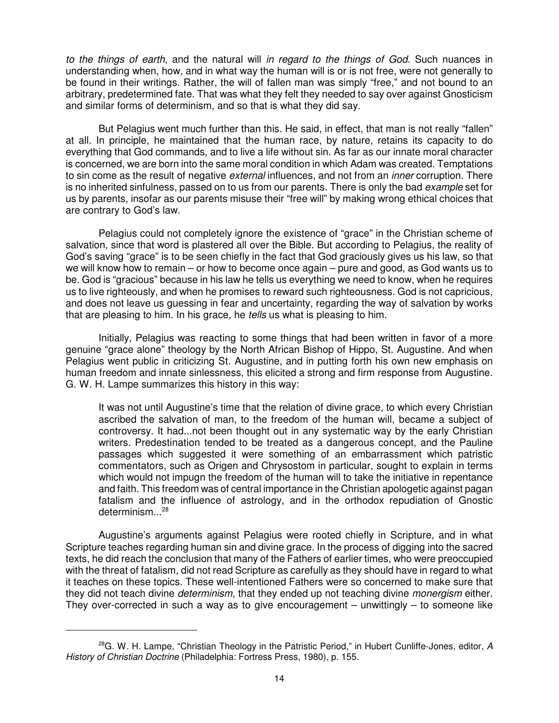to the things of earth, and the natural will in regard to the things of God. Such nuances in understanding when, how, and in what way the human will is or is not free, were not generally to be found in their writings. Rather, the will of fallen man was simply "free," and not bound to an arbitrary, predetermined fate. That was what they felt they needed to say over against Gnosticism and similar forms of determinism, and so that is what they did say.

But Pelagius went much further than this. He said, in effect, that man is not really "fallen" at all. In principle, he maintained that the human race, by nature, retains its capacity to do everything that God commands, and to live a life without sin. As far as our innate moral character is concerned, we are born into the same moral condition in which Adam was created. Temptations to sin come as the result of negative *external* influences, and not from an *inner* corruption. There is no inherited sinfulness, passed on to us from our parents. There is only the bad example set for us by parents, insofar as our parents misuse their "free will" by making wrong ethical choices that are contrary to God's law.

Pelagius could not completely ignore the existence of "grace" in the Christian scheme of salvation, since that word is plastered all over the Bible. But according to Pelagius, the reality of God's saving "grace" is to be seen chiefly in the fact that God graciously gives us his law, so that we will know how to remain – or how to become once again – pure and good, as God wants us to be. God is "gracious" because in his law he tells us everything we need to know, when he requires us to live righteously, and when he promises to reward such righteousness. God is not capricious, and does not leave us guessing in fear and uncertainty, regarding the way of salvation by works that are pleasing to him. In his grace, he tells us what is pleasing to him.

Initially, Pelagius was reacting to some things that had been written in favor of a more genuine "grace alone" theology by the North African Bishop of Hippo, St. Augustine. And when Pelagius went public in criticizing St. Augustine, and in putting forth his own new emphasis on human freedom and innate sinlessness, this elicited a strong and firm response from Augustine. G. W. H. Lampe summarizes this history in this way:

It was not until Augustine's time that the relation of divine grace, to which every Christian ascribed the salvation of man, to the freedom of the human will, became a subject of controversy. It had...not been thought out in any systematic way by the early Christian writers. Predestination tended to be treated as a dangerous concept, and the Pauline passages which suggested it were something of an embarrassment which patristic commentators, such as Origen and Chrysostom in particular, sought to explain in terms which would not impugn the freedom of the human will to take the initiative in repentance and faith. This freedom was of central importance in the Christian apologetic against pagan fatalism and the influence of astrology, and in the orthodox repudiation of Gnostic determinism $\ldots^{28}$ 

Augustine's arguments against Pelagius were rooted chiefly in Scripture, and in what Scripture teaches regarding human sin and divine grace. In the process of digging into the sacred texts, he did reach the conclusion that many of the Fathers of earlier times, who were preoccupied with the threat of fatalism, did not read Scripture as carefully as they should have in regard to what it teaches on these topics. These well-intentioned Fathers were so concerned to make sure that they did not teach divine *determinism*, that they ended up not teaching divine *monergism* either. They over-corrected in such a way as to give encouragement – unwittingly  $-$  to someone like

<sup>&</sup>lt;sup>28</sup>G. W. H. Lampe, "Christian Theology in the Patristic Period," in Hubert Cunliffe-Jones, editor, A History of Christian Doctrine (Philadelphia: Fortress Press, 1980), p. 155.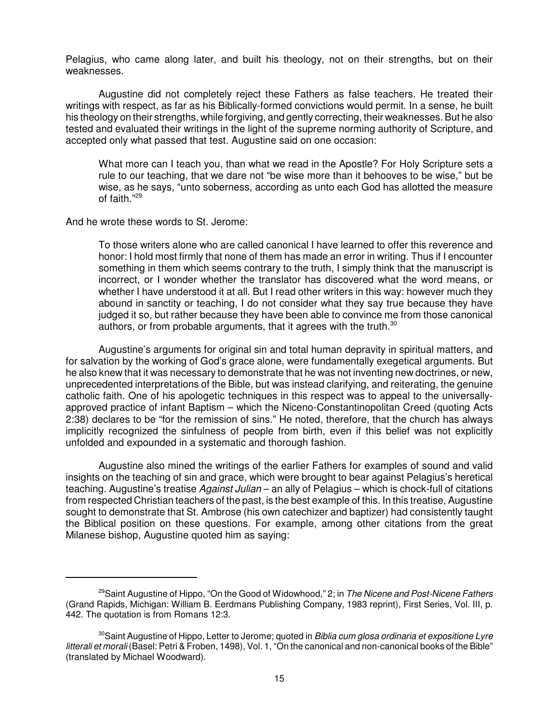Pelagius, who came along later, and built his theology, not on their strengths, but on their weaknesses.

Augustine did not completely reject these Fathers as false teachers. He treated their writings with respect, as far as his Biblically-formed convictions would permit. In a sense, he built his theology on their strengths, while forgiving, and gently correcting, their weaknesses. But he also tested and evaluated their writings in the light of the supreme norming authority of Scripture, and accepted only what passed that test. Augustine said on one occasion:

What more can I teach you, than what we read in the Apostle? For Holy Scripture sets a rule to our teaching, that we dare not "be wise more than it behooves to be wise," but be wise, as he says, "unto soberness, according as unto each God has allotted the measure of faith."<sup>29</sup>

And he wrote these words to St. Jerome:

To those writers alone who are called canonical I have learned to offer this reverence and honor: I hold most firmly that none of them has made an error in writing. Thus if I encounter something in them which seems contrary to the truth, I simply think that the manuscript is incorrect, or I wonder whether the translator has discovered what the word means, or whether I have understood it at all. But I read other writers in this way: however much they abound in sanctity or teaching, I do not consider what they say true because they have judged it so, but rather because they have been able to convince me from those canonical authors, or from probable arguments, that it agrees with the truth. $30$ 

Augustine's arguments for original sin and total human depravity in spiritual matters, and for salvation by the working of God's grace alone, were fundamentally exegetical arguments. But he also knew that it was necessary to demonstrate that he was not inventing new doctrines, or new, unprecedented interpretations of the Bible, but was instead clarifying, and reiterating, the genuine catholic faith. One of his apologetic techniques in this respect was to appeal to the universallyapproved practice of infant Baptism – which the Niceno-Constantinopolitan Creed (quoting Acts 2:38) declares to be "for the remission of sins." He noted, therefore, that the church has always implicitly recognized the sinfulness of people from birth, even if this belief was not explicitly unfolded and expounded in a systematic and thorough fashion.

Augustine also mined the writings of the earlier Fathers for examples of sound and valid insights on the teaching of sin and grace, which were brought to bear against Pelagius's heretical teaching. Augustine's treatise Against Julian – an ally of Pelagius – which is chock-full of citations from respected Christian teachers of the past, is the best example of this. In this treatise, Augustine sought to demonstrate that St. Ambrose (his own catechizer and baptizer) had consistently taught the Biblical position on these questions. For example, among other citations from the great Milanese bishop, Augustine quoted him as saying:

<sup>&</sup>lt;sup>29</sup>Saint Augustine of Hippo, "On the Good of Widowhood," 2; in The Nicene and Post-Nicene Fathers (Grand Rapids, Michigan: William B. Eerdmans Publishing Company, 1983 reprint), First Series, Vol. III, p. 442. The quotation is from Romans 12:3.

 $30$ Saint Augustine of Hippo, Letter to Jerome; quoted in *Biblia cum glosa ordinaria et expositione Lyre* litterali et morali (Basel: Petri & Froben, 1498), Vol. 1, "On the canonical and non-canonical books of the Bible" (translated by Michael Woodward).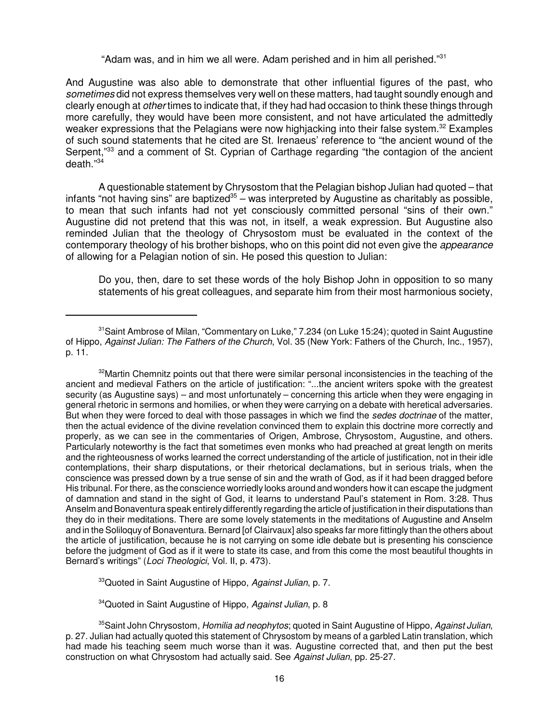"Adam was, and in him we all were. Adam perished and in him all perished."<sup>31</sup>

And Augustine was also able to demonstrate that other influential figures of the past, who sometimes did not express themselves very well on these matters, had taught soundly enough and clearly enough at other times to indicate that, if they had had occasion to think these things through more carefully, they would have been more consistent, and not have articulated the admittedly weaker expressions that the Pelagians were now highjacking into their false system.<sup>32</sup> Examples of such sound statements that he cited are St. Irenaeus' reference to "the ancient wound of the Serpent,<sup>33</sup> and a comment of St. Cyprian of Carthage regarding "the contagion of the ancient  $de$ ath $^{"34}$ 

A questionable statement by Chrysostom that the Pelagian bishop Julian had quoted – that infants "not having sins" are baptized<sup>35</sup> – was interpreted by Augustine as charitably as possible, to mean that such infants had not yet consciously committed personal "sins of their own." Augustine did not pretend that this was not, in itself, a weak expression. But Augustine also reminded Julian that the theology of Chrysostom must be evaluated in the context of the contemporary theology of his brother bishops, who on this point did not even give the *appearance* of allowing for a Pelagian notion of sin. He posed this question to Julian:

Do you, then, dare to set these words of the holy Bishop John in opposition to so many statements of his great colleagues, and separate him from their most harmonious society,

<sup>33</sup>Quoted in Saint Augustine of Hippo, Against Julian, p. 7.

<sup>34</sup>Quoted in Saint Augustine of Hippo, Against Julian, p. 8

<sup>&</sup>lt;sup>31</sup> Saint Ambrose of Milan, "Commentary on Luke," 7.234 (on Luke 15:24); quoted in Saint Augustine of Hippo, Against Julian: The Fathers of the Church, Vol. 35 (New York: Fathers of the Church, Inc., 1957), p. 11.

 $32$ Martin Chemnitz points out that there were similar personal inconsistencies in the teaching of the ancient and medieval Fathers on the article of justification: "...the ancient writers spoke with the greatest security (as Augustine says) – and most unfortunately – concerning this article when they were engaging in general rhetoric in sermons and homilies, or when they were carrying on a debate with heretical adversaries. But when they were forced to deal with those passages in which we find the sedes doctrinae of the matter, then the actual evidence of the divine revelation convinced them to explain this doctrine more correctly and properly, as we can see in the commentaries of Origen, Ambrose, Chrysostom, Augustine, and others. Particularly noteworthy is the fact that sometimes even monks who had preached at great length on merits and the righteousness of works learned the correct understanding of the article of justification, not in their idle contemplations, their sharp disputations, or their rhetorical declamations, but in serious trials, when the conscience was pressed down by a true sense of sin and the wrath of God, as if it had been dragged before His tribunal. For there, as the conscience worriedly looks around and wonders how it can escape the judgment of damnation and stand in the sight of God, it learns to understand Paul's statement in Rom. 3:28. Thus Anselm and Bonaventura speak entirely differently regarding the article of justification in their disputations than they do in their meditations. There are some lovely statements in the meditations of Augustine and Anselm and in the Soliloquy of Bonaventura. Bernard [of Clairvaux] also speaks far more fittingly than the others about the article of justification, because he is not carrying on some idle debate but is presenting his conscience before the judgment of God as if it were to state its case, and from this come the most beautiful thoughts in Bernard's writings" (Loci Theologici, Vol. II, p. 473).

<sup>&</sup>lt;sup>35</sup>Saint John Chrysostom, *Homilia ad neophytos*; quoted in Saint Augustine of Hippo, Against Julian, p. 27. Julian had actually quoted this statement of Chrysostom by means of a garbled Latin translation, which had made his teaching seem much worse than it was. Augustine corrected that, and then put the best construction on what Chrysostom had actually said. See Against Julian, pp. 25-27.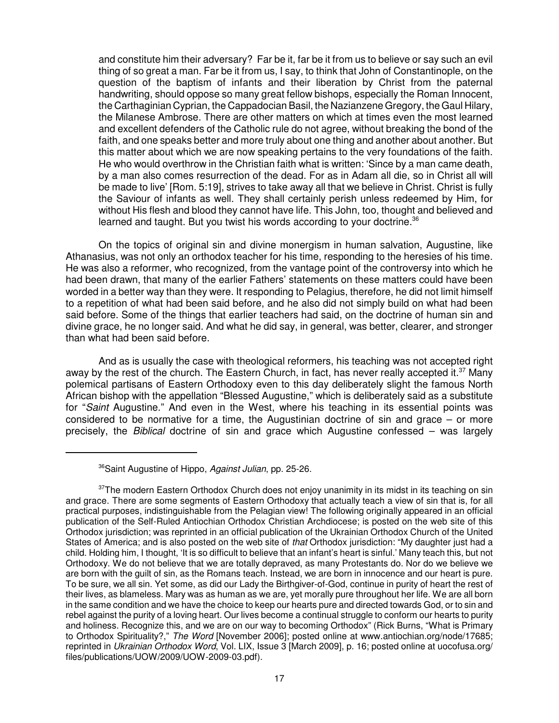and constitute him their adversary? Far be it, far be it from us to believe or say such an evil thing of so great a man. Far be it from us, I say, to think that John of Constantinople, on the question of the baptism of infants and their liberation by Christ from the paternal handwriting, should oppose so many great fellow bishops, especially the Roman Innocent, the Carthaginian Cyprian, the Cappadocian Basil, the Nazianzene Gregory, the Gaul Hilary, the Milanese Ambrose. There are other matters on which at times even the most learned and excellent defenders of the Catholic rule do not agree, without breaking the bond of the faith, and one speaks better and more truly about one thing and another about another. But this matter about which we are now speaking pertains to the very foundations of the faith. He who would overthrow in the Christian faith what is written: 'Since by a man came death, by a man also comes resurrection of the dead. For as in Adam all die, so in Christ all will be made to live' [Rom. 5:19], strives to take away all that we believe in Christ. Christ is fully the Saviour of infants as well. They shall certainly perish unless redeemed by Him, for without His flesh and blood they cannot have life. This John, too, thought and believed and learned and taught. But you twist his words according to your doctrine.<sup>36</sup>

On the topics of original sin and divine monergism in human salvation, Augustine, like Athanasius, was not only an orthodox teacher for his time, responding to the heresies of his time. He was also a reformer, who recognized, from the vantage point of the controversy into which he had been drawn, that many of the earlier Fathers' statements on these matters could have been worded in a better way than they were. It responding to Pelagius, therefore, he did not limit himself to a repetition of what had been said before, and he also did not simply build on what had been said before. Some of the things that earlier teachers had said, on the doctrine of human sin and divine grace, he no longer said. And what he did say, in general, was better, clearer, and stronger than what had been said before.

And as is usually the case with theological reformers, his teaching was not accepted right away by the rest of the church. The Eastern Church, in fact, has never really accepted it.<sup>37</sup> Many polemical partisans of Eastern Orthodoxy even to this day deliberately slight the famous North African bishop with the appellation "Blessed Augustine," which is deliberately said as a substitute for "Saint Augustine." And even in the West, where his teaching in its essential points was considered to be normative for a time, the Augustinian doctrine of sin and grace – or more precisely, the *Biblical* doctrine of sin and grace which Augustine confessed – was largely

<sup>&</sup>lt;sup>36</sup>Saint Augustine of Hippo, Against Julian, pp. 25-26.

 $37$ The modern Eastern Orthodox Church does not enjoy unanimity in its midst in its teaching on sin and grace. There are some segments of Eastern Orthodoxy that actually teach a view of sin that is, for all practical purposes, indistinguishable from the Pelagian view! The following originally appeared in an official publication of the Self-Ruled Antiochian Orthodox Christian Archdiocese; is posted on the web site of this Orthodox jurisdiction; was reprinted in an official publication of the Ukrainian Orthodox Church of the United States of America; and is also posted on the web site of that Orthodox jurisdiction: "My daughter just had a child. Holding him, I thought, 'It is so difficult to believe that an infant's heart is sinful.' Many teach this, but not Orthodoxy. We do not believe that we are totally depraved, as many Protestants do. Nor do we believe we are born with the guilt of sin, as the Romans teach. Instead, we are born in innocence and our heart is pure. To be sure, we all sin. Yet some, as did our Lady the Birthgiver-of-God, continue in purity of heart the rest of their lives, as blameless. Mary was as human as we are, yet morally pure throughout her life. We are all born in the same condition and we have the choice to keep our hearts pure and directed towards God, or to sin and rebel against the purity of a loving heart. Our lives become a continual struggle to conform our hearts to purity and holiness. Recognize this, and we are on our way to becoming Orthodox" (Rick Burns, "What is Primary to Orthodox Spirituality?," The Word [November 2006]; posted online at www.antiochian.org/node/17685; reprinted in Ukrainian Orthodox Word, Vol. LIX, Issue 3 [March 2009], p. 16; posted online at uocofusa.org/ files/publications/UOW/2009/UOW-2009-03.pdf).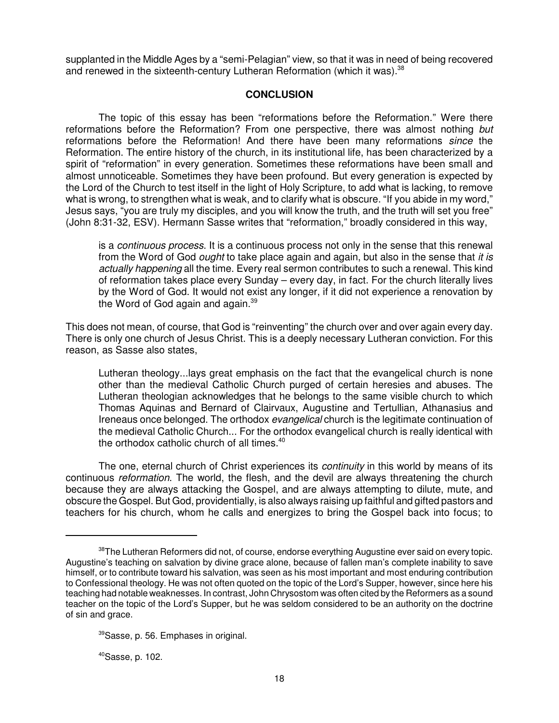supplanted in the Middle Ages by a "semi-Pelagian" view, so that it was in need of being recovered and renewed in the sixteenth-century Lutheran Reformation (which it was).<sup>38</sup>

#### **CONCLUSION**

The topic of this essay has been "reformations before the Reformation." Were there reformations before the Reformation? From one perspective, there was almost nothing but reformations before the Reformation! And there have been many reformations since the Reformation. The entire history of the church, in its institutional life, has been characterized by a spirit of "reformation" in every generation. Sometimes these reformations have been small and almost unnoticeable. Sometimes they have been profound. But every generation is expected by the Lord of the Church to test itself in the light of Holy Scripture, to add what is lacking, to remove what is wrong, to strengthen what is weak, and to clarify what is obscure. "If you abide in my word," Jesus says, "you are truly my disciples, and you will know the truth, and the truth will set you free" (John 8:31-32, ESV). Hermann Sasse writes that "reformation," broadly considered in this way,

is a continuous process. It is a continuous process not only in the sense that this renewal from the Word of God *ought* to take place again and again, but also in the sense that it is actually happening all the time. Every real sermon contributes to such a renewal. This kind of reformation takes place every Sunday – every day, in fact. For the church literally lives by the Word of God. It would not exist any longer, if it did not experience a renovation by the Word of God again and again.<sup>39</sup>

This does not mean, of course, that God is "reinventing" the church over and over again every day. There is only one church of Jesus Christ. This is a deeply necessary Lutheran conviction. For this reason, as Sasse also states,

Lutheran theology...lays great emphasis on the fact that the evangelical church is none other than the medieval Catholic Church purged of certain heresies and abuses. The Lutheran theologian acknowledges that he belongs to the same visible church to which Thomas Aquinas and Bernard of Clairvaux, Augustine and Tertullian, Athanasius and Ireneaus once belonged. The orthodox evangelical church is the legitimate continuation of the medieval Catholic Church... For the orthodox evangelical church is really identical with the orthodox catholic church of all times.<sup>40</sup>

The one, eternal church of Christ experiences its *continuity* in this world by means of its continuous reformation. The world, the flesh, and the devil are always threatening the church because they are always attacking the Gospel, and are always attempting to dilute, mute, and obscure the Gospel. But God, providentially, is also always raising up faithful and gifted pastors and teachers for his church, whom he calls and energizes to bring the Gospel back into focus; to

 $40$ Sasse, p. 102.

 $38$ The Lutheran Reformers did not, of course, endorse everything Augustine ever said on every topic. Augustine's teaching on salvation by divine grace alone, because of fallen man's complete inability to save himself, or to contribute toward his salvation, was seen as his most important and most enduring contribution to Confessional theology. He was not often quoted on the topic of the Lord's Supper, however, since here his teaching had notable weaknesses. In contrast, John Chrysostom was often cited by the Reformers as a sound teacher on the topic of the Lord's Supper, but he was seldom considered to be an authority on the doctrine of sin and grace.

<sup>39</sup>Sasse, p. 56. Emphases in original.